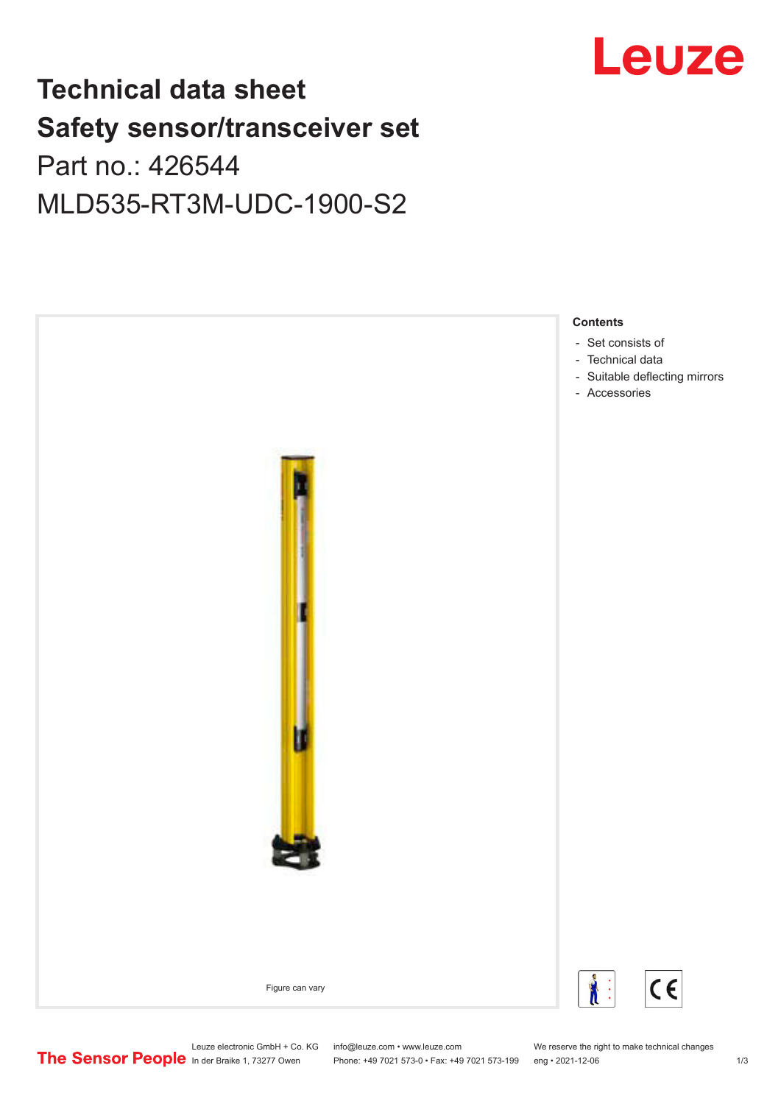# Leuze

## **Technical data sheet Safety sensor/transceiver set** Part no.: 426544

MLD535-RT3M-UDC-1900-S2



Leuze electronic GmbH + Co. KG info@leuze.com • www.leuze.com We reserve the right to make technical changes<br>
The Sensor People in der Braike 1, 73277 Owen Phone: +49 7021 573-0 • Fax: +49 7021 573-199 eng • 2021-12-06

Phone: +49 7021 573-0 • Fax: +49 7021 573-199 eng • 2021-12-06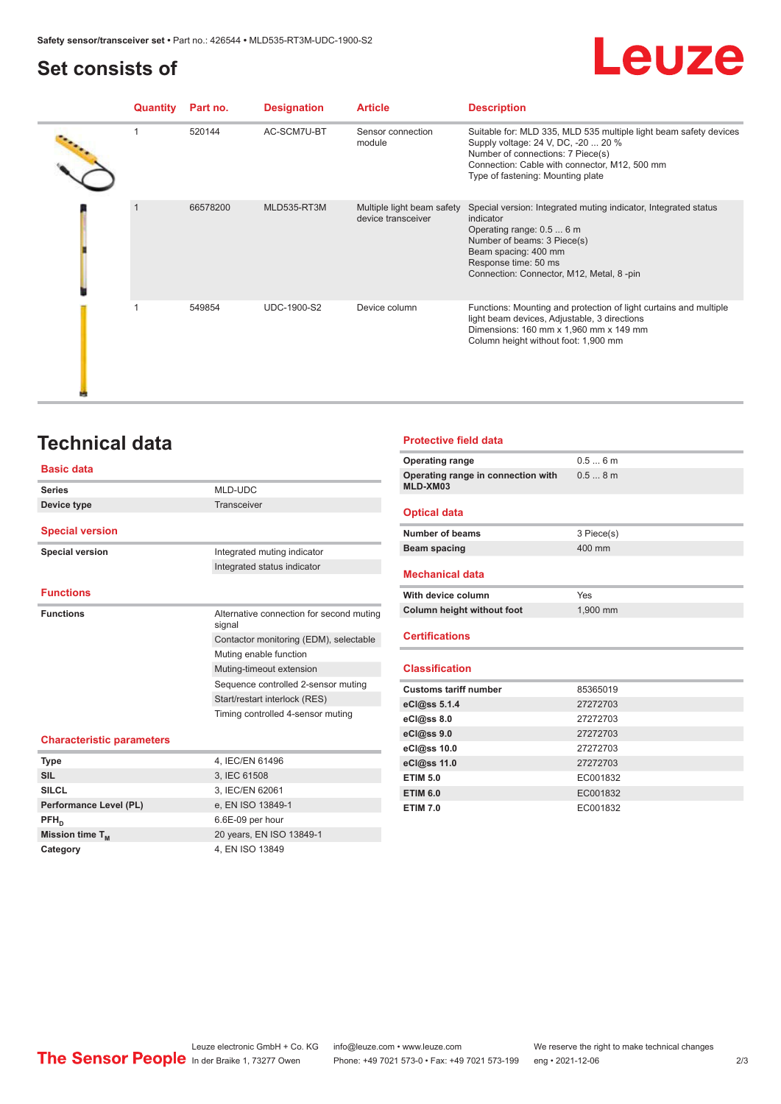## <span id="page-1-0"></span>**Set consists of**

## Leuze

| <b>Quantity</b> | Part no. | <b>Designation</b> | <b>Article</b>                                   | <b>Description</b>                                                                                                                                                                                                                   |
|-----------------|----------|--------------------|--------------------------------------------------|--------------------------------------------------------------------------------------------------------------------------------------------------------------------------------------------------------------------------------------|
|                 | 520144   | AC-SCM7U-BT        | Sensor connection<br>module                      | Suitable for: MLD 335, MLD 535 multiple light beam safety devices<br>Supply voltage: 24 V, DC, -20  20 %<br>Number of connections: 7 Piece(s)<br>Connection: Cable with connector, M12, 500 mm<br>Type of fastening: Mounting plate  |
|                 | 66578200 | MLD535-RT3M        | Multiple light beam safety<br>device transceiver | Special version: Integrated muting indicator, Integrated status<br>indicator<br>Operating range: 0.5  6 m<br>Number of beams: 3 Piece(s)<br>Beam spacing: 400 mm<br>Response time: 50 ms<br>Connection: Connector, M12, Metal, 8-pin |
|                 | 549854   | <b>UDC-1900-S2</b> | Device column                                    | Functions: Mounting and protection of light curtains and multiple<br>light beam devices, Adjustable, 3 directions<br>Dimensions: 160 mm x 1,960 mm x 149 mm<br>Column height without foot: 1,900 mm                                  |

## **Technical data**

#### **Basic data**

| <b>Series</b>          | MLD-UDC                                                                       |
|------------------------|-------------------------------------------------------------------------------|
| Device type            | Transceiver                                                                   |
|                        |                                                                               |
| <b>Special version</b> |                                                                               |
| <b>Special version</b> | Integrated muting indicator                                                   |
|                        | Integrated status indicator                                                   |
|                        |                                                                               |
| <b>Functions</b>       |                                                                               |
| <b>Functions</b>       |                                                                               |
|                        | signal                                                                        |
|                        | Contactor monitoring (EDM), selectable                                        |
|                        | Muting enable function                                                        |
|                        | Muting-timeout extension                                                      |
|                        | Sequence controlled 2-sensor muting                                           |
|                        | Start/restart interlock (RES)                                                 |
|                        | Alternative connection for second muting<br>Timing controlled 4-sensor muting |

#### **Characteristic parameters**

| <b>Type</b>                 | 4, IEC/EN 61496          |
|-----------------------------|--------------------------|
| <b>SIL</b>                  | 3, IEC 61508             |
| <b>SILCL</b>                | 3, IEC/EN 62061          |
| Performance Level (PL)      | e, EN ISO 13849-1        |
| $PFH_n$                     | 6.6E-09 per hour         |
| Mission time T <sub>M</sub> | 20 years, EN ISO 13849-1 |
| Category                    | 4, EN ISO 13849          |

#### **Protective field data**

| <b>Operating range</b>                         | 0.56m      |
|------------------------------------------------|------------|
| Operating range in connection with<br>MLD-XM03 | 0.58m      |
| <b>Optical data</b>                            |            |
| Number of beams                                | 3 Piece(s) |
| Beam spacing                                   | 400 mm     |
| <b>Mechanical data</b>                         |            |
| With device column                             | Yes        |
| Column height without foot                     | 1,900 mm   |
| <b>Certifications</b>                          |            |
| <b>Classification</b>                          |            |
| <b>Customs tariff number</b>                   | 85365019   |
| eCl@ss 5.1.4                                   | 27272703   |
| eCl@ss 8.0                                     | 27272703   |
| eCl@ss 9.0                                     | 27272703   |
| eCl@ss 10.0                                    | 27272703   |
| eCl@ss 11.0                                    | 27272703   |
| <b>ETIM 5.0</b>                                | EC001832   |
| <b>ETIM 6.0</b>                                | EC001832   |
| <b>ETIM 7.0</b>                                | EC001832   |